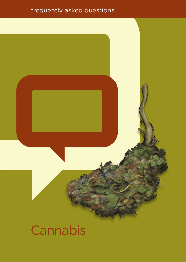## frequently asked questions



# **Cannabis**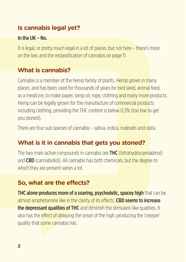## **Is cannabis legal yet?**

#### In the  $I$ <sub>IK</sub> $-$ <sub>No</sub>.

It is legal, or pretty much legal in a lot of places, but not here – there's more on the law, and the reclassification of cannabis on page 11.

## **What is cannabis?**

Cannabis is a member of the hemp family of plants. Hemp grows in many places, and has been used for thousands of years for bird seed, animal feed, as a medicine, to make paper, lamp oil, rope, clothing and many more products. Hemp can be legally grown for the manufacture of commercial products including clothing, providing the THC content is below 0.3% (too low to get you stoned).

There are four sub species of cannabis – sativa, indica, ruderalis and rasta.

## **What is it in cannabis that gets you stoned?**

The two main active compounds in cannabis are THC (tetrahydrocannabinol) and CBD (cannabidiol). All cannabis has both chemicals, but the degree to which they are present varies a lot.

## **So, what are the effects?**

THC alone produces more of a soaring, psychedelic, spacey high that can be almost amphetamine like in the clarity of its effects. CBD seems to increase the depressant qualities of THC and diminish the stimulant-like qualities. It also has the effect of delaying the onset of the high, producing the 'creeper' quality that some cannabis has.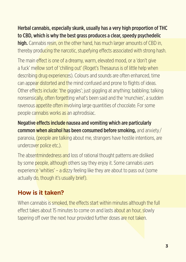#### Herbal cannabis, especially skunk, usually has a very high proportion of THC to CBD, which is why the best grass produces a clear, speedy psychedelic

high. Cannabis resin, on the other hand, has much larger amounts of CBD in, thereby producing the narcotic, stupefying effects associated with strong hash.

The main effect is one of a dreamy, warm, elevated mood, or a 'don't give a fuck' mellow sort of 'chilling out' (Roget's Thesaurus is of little help when describing drug experiences). Colours and sounds are often enhanced, time can appear distorted and the mind confused and prone to flights of ideas. Other effects include: 'the giggles': just giggling at anything: babbling: talking nonsensically, often forgetting what's been said and the 'munchies', a sudden ravenous appetite often involving large quantities of chocolate. For some people cannabis works as an aphrodisiac.

Negative effects include nausea and vomiting which are particularly common when alcohol has been consumed before smoking, and anxiety/ paranoia, (people are talking about me, strangers have hostile intentions, are undercover police etc.).

The absentmindedness and loss of rational thought patterns are disliked by some people, although others say they enjoy it. Some cannabis users experience 'whities' – a dizzy feeling like they are about to pass out (some actually do, though it's usually brief).

## **How is it taken?**

When cannabis is smoked, the effects start within minutes although the full effect takes about 15 minutes to come on and lasts about an hour, slowly tapering off over the next hour provided further doses are not taken.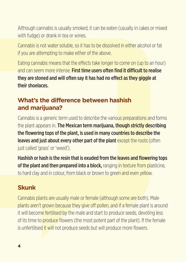Although cannabis is usually smoked, it can be eaten (usually in cakes or mixed with fudge) or drank in tea or wines.

Cannabis is not water soluble, so it has to be dissolved in either alcohol or fat if you are attempting to make either of the above.

Eating cannabis means that the effects take longer to come on (up to an hour) and can seem more intense. First time users often find it difficult to realise they are stoned and will often say it has had no effect as they giggle at their shoelaces.

### **What's the difference between hashish and marijuana?**

Cannabis is a generic term used to describe the various preparations and forms the plant appears in. The Mexican term marijuana, though strictly describing the flowering tops of the plant, is used in many countries to describe the leaves and just about every other part of the plant except the roots (often just called 'grass' or 'weed').

Hashish or hash is the resin that is exuded from the leaves and flowering tops of the plant and then prepared into a block, ranging in texture from plasticine. to hard clay and in colour, from black or brown to green and even yellow.

## **Skunk**

Cannabis plants are usually male or female (although some are both). Male plants aren't grown because they give off pollen, and if a female plant is around it will become fertilised by the male and start to produce seeds, devoting less of its time to produce flowers (the most potent part of the plant). If the female is unfertilised it will not produce seeds but will produce more flowers.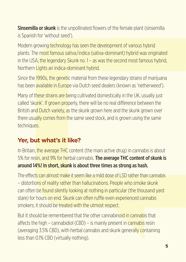**Sinsemilla or skunk** is the unpollinated flowers of the female plant (sinsemilla is Spanish for 'without seed').

Modern growing technology has seen the development of various hybrid plants. The most famous sativa/indica (sativa-dominant) hybrid was originated in the USA, the legendary Skunk no. 1 – as was the second most famous hybrid Northern Lights an indica-dominant hybrid.

Since the 1990s, the genetic material from these legendary strains of marijuana has been available in Europe via Dutch seed dealers (known as 'netherweed').

Many of these strains are being cultivated domestically in the UK, usually just called 'skunk'. If grown properly, there will be no real difference between the British and Dutch variety, as the skunk grown here and the skunk grown over there usually comes from the same seed stock, and is grown using the same techniques.

## **Yer, but what's it like?**

In Britain, the average THC content (the main active drug) in cannabis is about 5% for resin, and 9% for herbal cannabis. The average THC content of skunk is around 14%! In short, skunk is about three times as strong as hash.

The effects can almost make it seem like a mild dose of LSD rather than cannabis – distortions of reality rather than hallucinations. People who smoke skunk can often be found silently looking at nothing in particular (the thousand yard stare) for hours on end. Skunk can often ruffle even experienced cannabis smokers; it should be treated with the utmost respect.

But it should be remembered that the other cannabinoid in cannabis that affects the high – cannabidiol (CBD) – is mainly present in cannabis resin (averaging 3.5% CBD), with herbal cannabis and skunk generally containing less than 0.1% CBD (virtually nothing).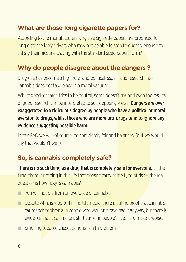## **What are those long cigarette papers for?**

According to the manufacturers king size cigarette papers are produced for long distance lorry drivers who may not be able to stop frequently enough to satisfy their nicotine craving with the standard sized papers. Urm?

## **Why do people disagree about the dangers ?**

Drug use has become a big moral and political issue – and research into cannabis does not take place in a moral vacuum.

Whilst good research tries to be neutral, some doesn't try, and even the results of good research can be interpreted to suit opposing views. **Dangers are over** exaggerated to a ridiculous degree by people who have a political or moral aversion to drugs, whilst those who are more pro-drugs tend to ignore any evidence suggesting possible harm.

In this FAQ we will, of course, be completely fair and **balanced (but we would** say that wouldn't we?).

## **So, is cannabis completely safe?**

**There is no such thing as a drug that is completely safe for everyone.** all the time: there is nothing in this life that doesn't carry some type of risk – the real question is how risky is cannabis?

- O You will not die from an overdose of cannabis.
- $\Box$  Despite what is reported in the UK media, there is still no proof that cannabis causes schizophrenia in people who wouldn't have had it anyway, but there is evidence that it can make it start earlier in people's lives, and make it worse.
- $\Box$  Smoking tobacco causes serious health problems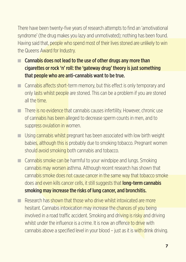There have been twenty-five years of research attempts to find an 'amotivational syndrome' (the drug makes you lazy and unmotivated); nothing has been found. Having said that, people who spend most of their lives stoned are unlikely to win the Queens Award for Industry.

- $\Box$  Cannabis does not lead to the use of other drugs any more than cigarettes or rock 'n' roll: the 'gateway drug' theory is just something that people who are anti-cannabis want to be true.
- $\Box$  Cannabis affects short-term memory, but this effect is only temporary and only lasts whilst people are stoned. This can be a problem if you are stoned all the time.
- $\blacksquare$  There is no evidence that cannabis causes infertility. However, chronic use of cannabis has been alleged to decrease sperm counts in men, and to suppress ovulation in women.
- $\Box$  Using cannabis whilst pregnant has been associated with low birth weight babies, although this is probably due to smoking tobacco. Pregnant women should avoid smoking both cannabis and tobacco.
- $\Box$  Cannabis smoke can be harmful to your windpipe and lungs. Smoking cannabis may worsen asthma. Although recent research has shown that cannabis smoke does not cause cancer in the same way that tobacco smoke does and even kills cancer cells, it still suggests that **long-term cannabis** smoking may increase the risks of lung cancer, and bronchitis.
- $\blacksquare$  Research has shown that those who drive whilst intoxicated are more hesitant. Cannabis intoxication may increase the chances of you being involved in a road traffic accident. Smoking and driving is risky and driving whilst under the influence is a crime. It is now an offence to drive with cannabis above a specified level in your blood – just as it is with drink driving.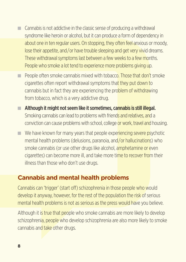- $\Box$  Cannabis is not addictive in the classic sense of producing a withdrawal syndrome like heroin or alcohol, but it can produce a form of dependency in about one in ten regular users. On stopping, they often feel anxious or moody, lose their appetite, and/or have trouble sleeping and get very vivid dreams. These withdrawal symptoms last between a few weeks to a few months. People who smoke a lot tend to experience more problems giving up.
- $\Box$  People often smoke cannabis mixed with tobacco. Those that don't smoke cigarettes often report withdrawal symptoms that they put down to cannabis but in fact they are experiencing the problem of withdrawing from tobacco, which is a very addictive drug.
- $\blacksquare$  Although it might not seem like it sometimes, cannabis is still illegal. Smoking cannabis can lead to problems with friends and relatives, and a conviction can cause problems with school, college or work, travel and housing.
- $\blacksquare$  We have known for many years that people experiencing severe psychotic mental health problems (delusions, paranoia, and/or hallucinations) who smoke cannabis (or use other drugs like alcohol, amphetamine or even cigarettes) can become more ill, and take more time to recover from their illness than those who don't use drugs.

#### **Cannabis and mental health problems**

Cannabis can 'trigger' (start off) schizophrenia in those people who would develop it anyway, however, for the rest of the population the risk of serious mental health problems is not as serious as the press would have you believe.

Although it is true that people who smoke cannabis are more likely to develop schizophrenia, people who develop schizophrenia are also more likely to smoke cannabis and take other drugs.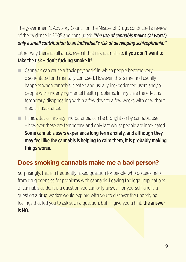The government's Advisory Council on the Misuse of Drugs conducted a review of the evidence in 2005 and concluded: *"the use of cannabis makes (at worst) only a small contribution to an individual's risk of developing schizophrenia."* 

Either way there is still a risk, even if that risk is small, so, **if you don't want to** take the risk – don't fucking smoke it!

- $\Box$  Cannabis can cause a 'toxic psychosis' in which people become very disorientated and mentally confused. However, this is rare and usually happens when cannabis is eaten and usually inexperienced users and/or people with underlying mental health problems. In any case the effect is temporary, disappearing within a few days to a few weeks with or without medical assistance.
- $\Box$  Panic attacks, anxiety and paranoia can be brought on by cannabis use – however these are temporary, and only last whilst people are intoxicated. Some cannabis users experience long term anxiety, and although they may feel like the cannabis is helping to calm them, it is probably making things worse.

## **Does smoking cannabis make me a bad person?**

Surprisingly, this is a frequently asked question for people who do seek help from drug agencies for problems with cannabis. Leaving the legal implications of cannabis aside, it is a question you can only answer for yourself, and is a question a drug worker would explore with you to discover the underlying feelings that led you to ask such a question, but I'll give you a hint: the answer is NO.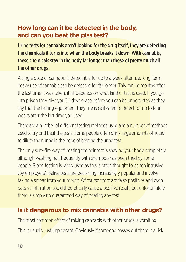## **How long can it be detected in the body, and can you beat the piss test?**

Urine tests for cannabis aren't looking for the drug itself, they are detecting the chemicals it turns into when the body breaks it down. With cannabis, these chemicals stay in the body far longer than those of pretty much all the other drugs.

A single dose of cannabis is detectable for up to a week after use; long-term heavy use of cannabis can be detected for far longer. This can be months after the last time it was taken; it all depends on what kind of test is used. If you go into prison they give you 30 days grace before you can be urine tested as they say that the testing equipment they use is calibrated to detect for up to four weeks after the last time you used.

There are a number of different testing methods used and a number of methods used to try and beat the tests. Some people often drink large amounts of liquid to dilute their urine in the hope of beating the urine test.

The only sure-fire way of beating the hair test is shaving your body completely, although washing hair frequently with shampoo has been tried by some people. Blood testing is rarely used as this is often thought to be too intrusive (by employers). Saliva tests are becoming increasingly popular and involve taking a smear from your mouth. Of course there are false positives and even passive inhalation could theoretically cause a positive result, but unfortunately there is simply no guaranteed way of beating any test.

### **Is it dangerous to mix cannabis with other drugs?**

The most common effect of mixing cannabis with other drugs is vomiting. This is usually just unpleasant. Obviously if someone passes out there is a risk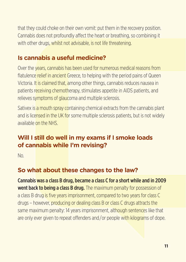that they could choke on their own vomit: put them in the recovery position. Cannabis does not profoundly affect the heart or breathing, so combining it with other drugs, whilst not advisable, is not life threatening.

#### **Is cannabis a useful medicine?**

Over the years, cannabis has been used for numerous medical reasons from flatulence relief in ancient Greece, to helping with the period pains of Queen Victoria. It is claimed that, among other things, cannabis reduces nausea in patients receiving chemotherapy, stimulates appetite in AIDS patients, and relieves symptoms of glaucoma and multiple sclerosis.

Sativex is a mouth spray containing chemical extracts from the cannabis plant and is licensed in the UK for some multiple sclerosis patients, but is not widely available on the NHS.

## **Will I still do well in my exams if I smoke loads of cannabis while I'm revising?**

No.

### **So what about these changes to the law?**

Cannabis was a class B drug, became a class C for a short while and in 2009 **went back to being a class B drug.** The maximum penalty for possession of a class B drug is five years imprisonment, compared to two years for class C drugs – however, producing or dealing class B or class C drugs attracts the same maximum penalty: 14 years imprisonment, although sentences like that are only ever given to repeat offenders and/or people with kilograms of dope.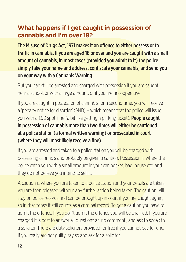## **What happens if I get caught in possession of cannabis and I'm over 18?**

The Misuse of Drugs Act, 1971 makes it an offence to either possess or to traffic in cannabis. If you are aged 18 or over and you are caught with a small amount of cannabis, in most cases (provided you admit to it) the police simply take your name and address, confiscate your cannabis, and send you on your way with a Cannabis Warning.

But you can still be arrested and charged with possession if you are caught near a school, or with a large amount, or if you are uncooperative.

If you are caught in possession of cannabis for a second time, you will receive a 'penalty notice for disorder' (PND) – which means that the police will issue you with a £90 spot-fine (a bit like getting a parking ticket). **People caught** in possession of cannabis more than two times will either be cautioned at a police station (a formal written warning) or prosecuted in court (where they will most likely receive a fine).

If you are arrested and taken to a police station you will be charged with possessing cannabis and probably be given a caution. Possession is where the police catch you with a small amount in your car, pocket, bag, house etc. and they do not believe you intend to sell it.

A caution is where you are taken to a police station and your details are taken; you are then released without any further action being taken. The caution will stay on police records and can be brought up in court if you are caught again, so in that sense it still counts as a criminal record. To get a caution you have to admit the offence. If you don't admit the offence you will be charged. If you are charged it is best to answer all questions as 'no comment', and ask to speak to a solicitor. There are duty solicitors provided for free if you cannot pay for one. If you really are not quilty, say so and ask for a solicitor.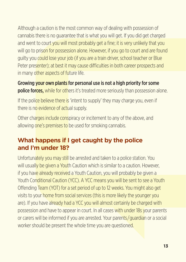Although a caution is the most common way of dealing with possession of cannabis there is no guarantee that is what you will get. If you did get charged and went to court you will most probably get a fine; it is very unlikely that you will go to prison for possession alone. However, if you go to court and are found guilty you could lose your job (if you are a train driver, school teacher or Blue Peter presenter); at best it may cause difficulties in both career prospects and in many other aspects of future life.

Growing your own plants for personal use is not a high priority for some **police forces,** while for others it's treated more seriously than possession alone.

If the police believe there is 'intent to supply' they may charge you, even if there is no evidence of actual supply.

Other charges include conspiracy or incitement to any of the above, and allowing one's premises to be used for smoking cannabis.

## **What happens if I get caught by the police and I'm under 18?**

Unfortunately you may still be arrested and taken to a police station. You will usually be given a Youth Caution which is similar to a caution. However, if you have already received a Youth Caution, you will probably be given a Youth Conditional Caution (YCC). A YCC means you will be sent to see a Youth Offending Team (YOT) for a set period of up to 12 weeks. You might also get visits to your home from social services (this is more likely the younger you are). If you have already had a YCC you will almost certainly be charged with possession and have to appear in court. In all cases with under 18s your parents or carers will be informed if you are arrested. Your parents/guardian or a social worker should be present the whole time you are questioned.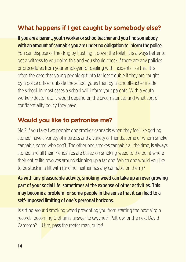## **What happens if I get caught by somebody else?**

If you are a parent, youth worker or schoolteacher and you find somebody with an amount of cannabis you are under no obligation to inform the police. You can dispose of the drug by flushing it down the toilet. It is always better to get a witness to you doing this and you should check if there are any policies or procedures from your employer for dealing with incidents like this. It is often the case that young people get into far less trouble if they are caught by a police officer outside the school gates than by a schoolteacher inside the school. In most cases a school will inform your parents. With a youth worker/doctor etc, it would depend on the circumstances and what sort of confidentiality policy they have.

## **Would you like to patronise me?**

Moi? If you take two people: one smokes cannabis when they feel like getting stoned, have a variety of interests and a variety of friends, some of whom smoke cannabis, some who don't. The other one smokes cannabis all the time, is always stoned and all their friendships are based on smoking weed to the point where their entire life revolves around skinning up a fat one. Which one would you like to be stuck in a lift with (and no, neither has any cannabis on them)?

As with any pleasurable activity, smoking weed can take up an ever growing part of your social life, sometimes at the expense of other activities. This may become a problem for some people in the sense that it can lead to a self-imposed limiting of one's personal horizons.

Is sitting around smoking weed preventing you from starting the next Virgin records, becoming Oldham's answer to Gwyneth Paltrow, or the next David Cameron? ... Urm, pass the reefer man, quick!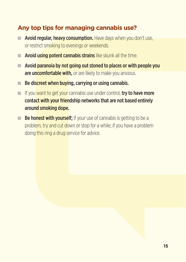## **Any top tips for managing cannabis use?**

- $\blacksquare$  Avoid regular, heavy consumption. Have days when you don't use, or restrict smoking to evenings or weekends.
- $\blacksquare$  Avoid using potent cannabis strains like skunk all the time.
- $\blacksquare$  Avoid paranoia by not going out stoned to places or with people you are uncomfortable with, or are likely to make you anxious.
- $\blacksquare$  Be discreet when buying, carrying or using cannabis.
- $\blacksquare$  If you want to get your cannabis use under control, try to have more contact with your friendship networks that are not based entirely around smoking dope.
- $\blacksquare$  Be honest with vourself: if your use of cannabis is getting to be a problem, try and cut down or stop for a while; if you have a problem doing this ring a drug service for advice.